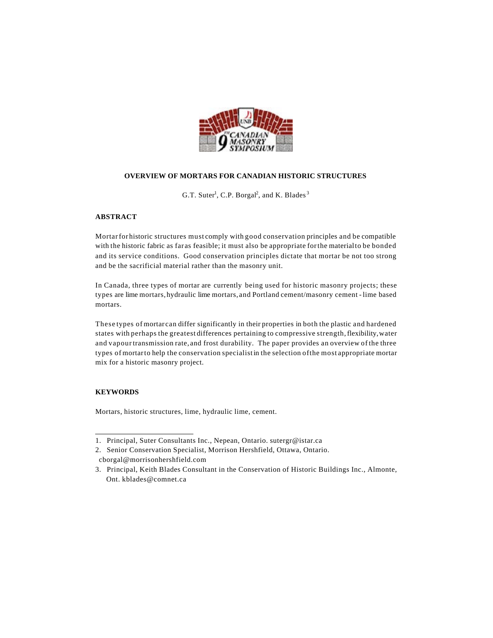

### **OVERVIEW OF MORTARS FOR CANADIAN HISTORIC STRUCTURES**

G.T. Suter<sup>1</sup>, C.P. Borgal<sup>2</sup>, and K. Blades<sup>3</sup>

## **ABSTRACT**

Mortarfor historic structures must comply with good conservation principles and be compatible with the historic fabric as far as feasible; it must also be appropriate forthe materialto be bonded and its service conditions. Good conservation principles dictate that mortar be not too strong and be the sacrificial material rather than the masonry unit.

In Canada, three types of mortar are currently being used for historic masonry projects; these types are lime mortars, hydraulic lime mortars, and Portland cement/masonry cement - lime based mortars.

These types of mortar can differ significantly in their properties in both the plastic and hardened states with perhaps the greatest differences pertaining to compressive strength,flexibility,water and vapourtransmission rate, and frost durability. The paper provides an overview of the three types of mortarto help the conservation specialistin the selection ofthe most appropriate mortar mix for a historic masonry project.

# **KEYWORDS**

 $\overline{a}$ 

Mortars, historic structures, lime, hydraulic lime, cement.

<sup>1.</sup> Principal, Suter Consultants Inc., Nepean, Ontario. sutergr@istar.ca

<sup>2.</sup> Senior Conservation Specialist, Morrison Hershfield, Ottawa, Ontario. cborgal@morrisonhershfield.com

<sup>3.</sup> Principal, Keith Blades Consultant in the Conservation of Historic Buildings Inc., Almonte, Ont. kblades@comnet.ca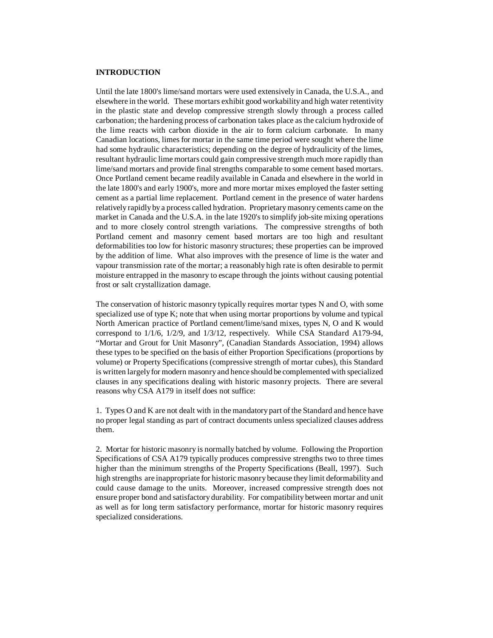## **INTRODUCTION**

Until the late 1800's lime/sand mortars were used extensively in Canada, the U.S.A., and elsewhere in the world. These mortars exhibit good workability and high water retentivity in the plastic state and develop compressive strength slowly through a process called carbonation; the hardening process of carbonation takes place as the calcium hydroxide of the lime reacts with carbon dioxide in the air to form calcium carbonate. In many Canadian locations, limes for mortar in the same time period were sought where the lime had some hydraulic characteristics; depending on the degree of hydraulicity of the limes, resultant hydraulic lime mortars could gain compressive strength much more rapidly than lime/sand mortars and provide final strengths comparable to some cement based mortars. Once Portland cement became readily available in Canada and elsewhere in the world in the late 1800's and early 1900's, more and more mortar mixes employed the faster setting cement as a partial lime replacement. Portland cement in the presence of water hardens relatively rapidly by a process called hydration. Proprietary masonry cements came on the market in Canada and the U.S.A. in the late 1920's to simplify job-site mixing operations and to more closely control strength variations. The compressive strengths of both Portland cement and masonry cement based mortars are too high and resultant deformabilities too low for historic masonry structures; these properties can be improved by the addition of lime. What also improves with the presence of lime is the water and vapour transmission rate of the mortar; a reasonably high rate is often desirable to permit moisture entrapped in the masonry to escape through the joints without causing potential frost or salt crystallization damage.

The conservation of historic masonry typically requires mortar types N and O, with some specialized use of type K; note that when using mortar proportions by volume and typical North American practice of Portland cement/lime/sand mixes, types N, O and K would correspond to 1/1/6, 1/2/9, and 1/3/12, respectively. While CSA Standard A179-94, "Mortar and Grout for Unit Masonry", (Canadian Standards Association, 1994) allows these types to be specified on the basis of either Proportion Specifications (proportions by volume) or Property Specifications (compressive strength of mortar cubes), this Standard is written largely for modern masonry and hence should be complemented with specialized clauses in any specifications dealing with historic masonry projects. There are several reasons why CSA A179 in itself does not suffice:

1. Types O and K are not dealt with in the mandatory part of the Standard and hence have no proper legal standing as part of contract documents unless specialized clauses address them.

2. Mortar for historic masonry is normally batched by volume. Following the Proportion Specifications of CSA A179 typically produces compressive strengths two to three times higher than the minimum strengths of the Property Specifications (Beall, 1997). Such high strengths are inappropriate for historic masonry because they limit deformability and could cause damage to the units. Moreover, increased compressive strength does not ensure proper bond and satisfactory durability. For compatibility between mortar and unit as well as for long term satisfactory performance, mortar for historic masonry requires specialized considerations.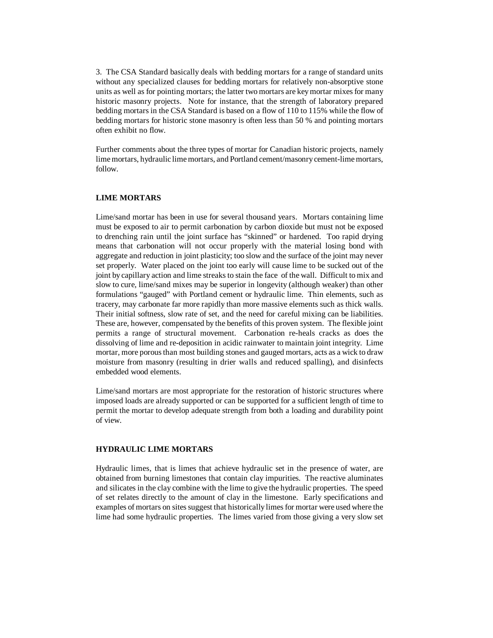3. The CSA Standard basically deals with bedding mortars for a range of standard units without any specialized clauses for bedding mortars for relatively non-absorptive stone units as well as for pointing mortars; the latter two mortars are key mortar mixes for many historic masonry projects. Note for instance, that the strength of laboratory prepared bedding mortars in the CSA Standard is based on a flow of 110 to 115% while the flow of bedding mortars for historic stone masonry is often less than 50 % and pointing mortars often exhibit no flow.

Further comments about the three types of mortar for Canadian historic projects, namely lime mortars, hydraulic lime mortars, and Portland cement/masonry cement-lime mortars, follow.

## **LIME MORTARS**

Lime/sand mortar has been in use for several thousand years. Mortars containing lime must be exposed to air to permit carbonation by carbon dioxide but must not be exposed to drenching rain until the joint surface has "skinned" or hardened. Too rapid drying means that carbonation will not occur properly with the material losing bond with aggregate and reduction in joint plasticity; too slow and the surface of the joint may never set properly. Water placed on the joint too early will cause lime to be sucked out of the joint by capillary action and lime streaks to stain the face of the wall. Difficult to mix and slow to cure, lime/sand mixes may be superior in longevity (although weaker) than other formulations "gauged" with Portland cement or hydraulic lime. Thin elements, such as tracery, may carbonate far more rapidly than more massive elements such as thick walls. Their initial softness, slow rate of set, and the need for careful mixing can be liabilities. These are, however, compensated by the benefits of this proven system. The flexible joint permits a range of structural movement. Carbonation re-heals cracks as does the dissolving of lime and re-deposition in acidic rainwater to maintain joint integrity. Lime mortar, more porous than most building stones and gauged mortars, acts as a wick to draw moisture from masonry (resulting in drier walls and reduced spalling), and disinfects embedded wood elements.

Lime/sand mortars are most appropriate for the restoration of historic structures where imposed loads are already supported or can be supported for a sufficient length of time to permit the mortar to develop adequate strength from both a loading and durability point of view.

#### **HYDRAULIC LIME MORTARS**

Hydraulic limes, that is limes that achieve hydraulic set in the presence of water, are obtained from burning limestones that contain clay impurities. The reactive aluminates and silicates in the clay combine with the lime to give the hydraulic properties. The speed of set relates directly to the amount of clay in the limestone. Early specifications and examples of mortars on sites suggest that historically limes for mortar were used where the lime had some hydraulic properties. The limes varied from those giving a very slow set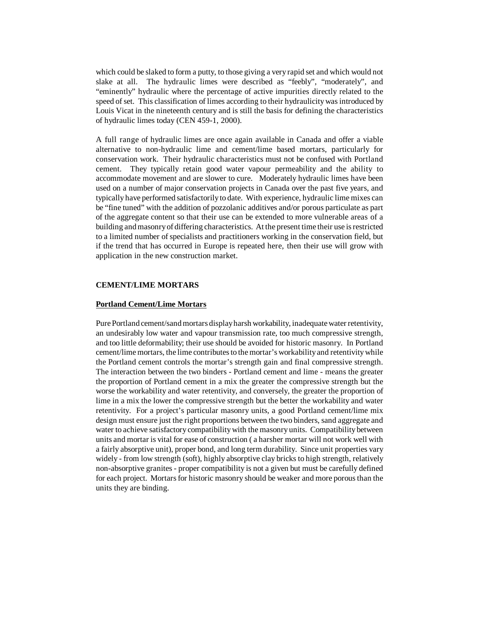which could be slaked to form a putty, to those giving a very rapid set and which would not slake at all. The hydraulic limes were described as "feebly", "moderately", and "eminently" hydraulic where the percentage of active impurities directly related to the speed of set. This classification of limes according to their hydraulicity was introduced by Louis Vicat in the nineteenth century and is still the basis for defining the characteristics of hydraulic limes today (CEN 459-1, 2000).

A full range of hydraulic limes are once again available in Canada and offer a viable alternative to non-hydraulic lime and cement/lime based mortars, particularly for conservation work. Their hydraulic characteristics must not be confused with Portland cement. They typically retain good water vapour permeability and the ability to accommodate movement and are slower to cure. Moderately hydraulic limes have been used on a number of major conservation projects in Canada over the past five years, and typically have performed satisfactorily to date. With experience, hydraulic lime mixes can be "fine tuned" with the addition of pozzolanic additives and/or porous particulate as part of the aggregate content so that their use can be extended to more vulnerable areas of a building and masonry of differing characteristics. At the present time their use is restricted to a limited number of specialists and practitioners working in the conservation field, but if the trend that has occurred in Europe is repeated here, then their use will grow with application in the new construction market.

### **CEMENT/LIME MORTARS**

### **Portland Cement/Lime Mortars**

Pure Portland cement/sand mortars display harsh workability, inadequate water retentivity, an undesirably low water and vapour transmission rate, too much compressive strength, and too little deformability; their use should be avoided for historic masonry. In Portland cement/lime mortars, the lime contributes to the mortar's workability and retentivity while the Portland cement controls the mortar's strength gain and final compressive strength. The interaction between the two binders - Portland cement and lime - means the greater the proportion of Portland cement in a mix the greater the compressive strength but the worse the workability and water retentivity, and conversely, the greater the proportion of lime in a mix the lower the compressive strength but the better the workability and water retentivity. For a project's particular masonry units, a good Portland cement/lime mix design must ensure just the right proportions between the two binders, sand aggregate and water to achieve satisfactory compatibility with the masonry units. Compatibility between units and mortar is vital for ease of construction ( a harsher mortar will not work well with a fairly absorptive unit), proper bond, and long term durability. Since unit properties vary widely - from low strength (soft), highly absorptive clay bricks to high strength, relatively non-absorptive granites - proper compatibility is not a given but must be carefully defined for each project. Mortars for historic masonry should be weaker and more porous than the units they are binding.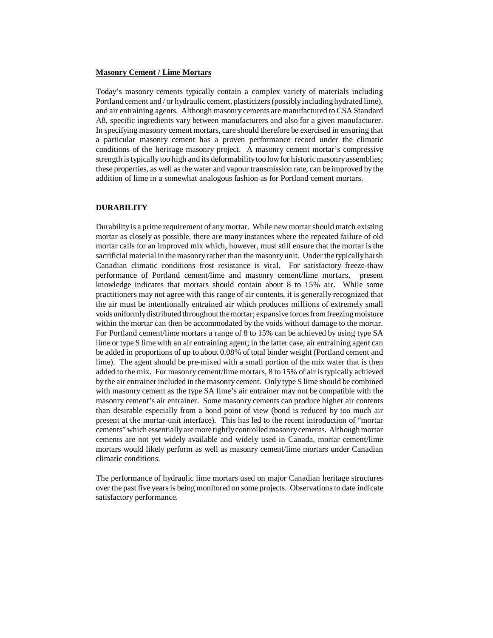#### **Masonry Cement / Lime Mortars**

Today's masonry cements typically contain a complex variety of materials including Portland cement and / or hydraulic cement, plasticizers (possibly including hydrated lime), and air entraining agents. Although masonry cements are manufactured to CSA Standard A8, specific ingredients vary between manufacturers and also for a given manufacturer. In specifying masonry cement mortars, care should therefore be exercised in ensuring that a particular masonry cement has a proven performance record under the climatic conditions of the heritage masonry project. A masonry cement mortar's compressive strength is typically too high and its deformability too low for historic masonry assemblies; these properties, as well as the water and vapour transmission rate, can be improved by the addition of lime in a somewhat analogous fashion as for Portland cement mortars.

# **DURABILITY**

Durability is a prime requirement of any mortar. While new mortar should match existing mortar as closely as possible, there are many instances where the repeated failure of old mortar calls for an improved mix which, however, must still ensure that the mortar is the sacrificial material in the masonry rather than the masonry unit. Under the typically harsh Canadian climatic conditions frost resistance is vital. For satisfactory freeze-thaw performance of Portland cement/lime and masonry cement/lime mortars, present knowledge indicates that mortars should contain about 8 to 15% air. While some practitioners may not agree with this range of air contents, it is generally recognized that the air must be intentionally entrained air which produces millions of extremely small voids uniformly distributed throughout the mortar; expansive forces from freezing moisture within the mortar can then be accommodated by the voids without damage to the mortar. For Portland cement/lime mortars a range of 8 to 15% can be achieved by using type SA lime or type S lime with an air entraining agent; in the latter case, air entraining agent can be added in proportions of up to about 0.08% of total binder weight (Portland cement and lime). The agent should be pre-mixed with a small portion of the mix water that is then added to the mix. For masonry cement/lime mortars, 8 to 15% of air is typically achieved by the air entrainer included in the masonry cement. Only type S lime should be combined with masonry cement as the type SA lime's air entrainer may not be compatible with the masonry cement's air entrainer. Some masonry cements can produce higher air contents than desirable especially from a bond point of view (bond is reduced by too much air present at the mortar-unit interface). This has led to the recent introduction of "mortar cements" which essentially are more tightly controlled masonry cements. Although mortar cements are not yet widely available and widely used in Canada, mortar cement/lime mortars would likely perform as well as masonry cement/lime mortars under Canadian climatic conditions.

The performance of hydraulic lime mortars used on major Canadian heritage structures over the past five years is being monitored on some projects. Observations to date indicate satisfactory performance.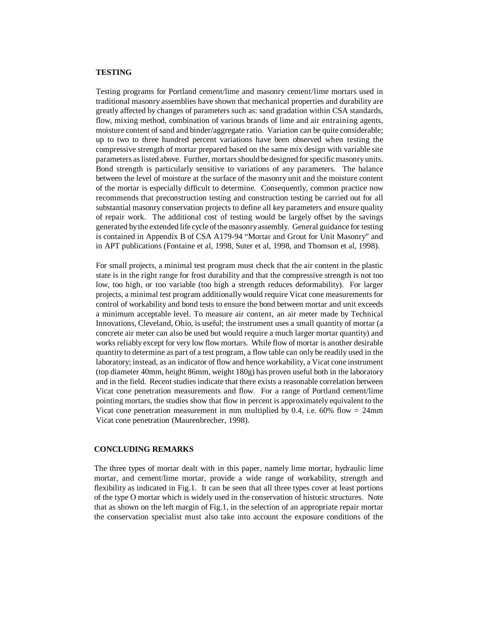## **TESTING**

Testing programs for Portland cement/lime and masonry cement/lime mortars used in traditional masonry assemblies have shown that mechanical properties and durability are greatly affected by changes of parameters such as: sand gradation within CSA standards, flow, mixing method, combination of various brands of lime and air entraining agents, moisture content of sand and binder/aggregate ratio. Variation can be quite considerable; up to two to three hundred percent variations have been observed when testing the compressive strength of mortar prepared based on the same mix design with variable site parameters as listed above. Further, mortars should be designed for specific masonry units. Bond strength is particularly sensitive to variations of any parameters. The balance between the level of moisture at the surface of the masonry unit and the moisture content of the mortar is especially difficult to determine. Consequently, common practice now recommends that preconstruction testing and construction testing be carried out for all substantial masonry conservation projects to define all key parameters and ensure quality of repair work. The additional cost of testing would be largely offset by the savings generated by the extended life cycle of the masonry assembly. General guidance for testing is contained in Appendix B of CSA A179-94 "Mortar and Grout for Unit Masonry" and in APT publications (Fontaine et al, 1998, Suter et al, 1998, and Thomson et al, 1998).

For small projects, a minimal test program must check that the air content in the plastic state is in the right range for frost durability and that the compressive strength is not too low, too high, or too variable (too high a strength reduces deformability). For larger projects, a minimal test program additionally would require Vicat cone measurements for control of workability and bond tests to ensure the bond between mortar and unit exceeds a minimum acceptable level. To measure air content, an air meter made by Technical Innovations, Cleveland, Ohio, is useful; the instrument uses a small quantity of mortar (a concrete air meter can also be used but would require a much larger mortar quantity) and works reliably except for very low flow mortars. While flow of mortar is another desirable quantity to determine as part of a test program, a flow table can only be readily used in the laboratory; instead, as an indicator of flow and hence workability, a Vicat cone instrument (top diameter 40mm, height 86mm, weight 180g) has proven useful both in the laboratory and in the field. Recent studies indicate that there exists a reasonable correlation between Vicat cone penetration measurements and flow. For a range of Portland cement/lime pointing mortars, the studies show that flow in percent is approximately equivalent to the Vicat cone penetration measurement in mm multiplied by 0.4, i.e. 60% flow  $\approx$  24mm Vicat cone penetration (Maurenbrecher, 1998).

#### **CONCLUDING REMARKS**

The three types of mortar dealt with in this paper, namely lime mortar, hydraulic lime mortar, and cement/lime mortar, provide a wide range of workability, strength and flexibility as indicated in Fig.1. It can be seen that all three types cover at least portions of the type O mortar which is widely used in the conservation of historic structures. Note that as shown on the left margin of Fig.1, in the selection of an appropriate repair mortar the conservation specialist must also take into account the exposure conditions of the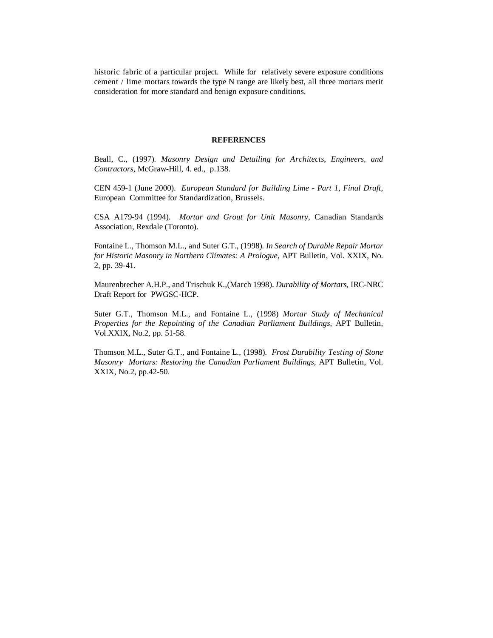historic fabric of a particular project. While for relatively severe exposure conditions cement / lime mortars towards the type N range are likely best, all three mortars merit consideration for more standard and benign exposure conditions.

#### **REFERENCES**

Beall, C., (1997)*. Masonry Design and Detailing for Architects, Engineers, and Contractors,* McGraw-Hill, 4. ed., p.138.

CEN 459-1 (June 2000). *European Standard for Building Lime - Part 1, Final Draft,* European Committee for Standardization, Brussels.

CSA A179-94 (1994). *Mortar and Grout for Unit Masonry*, Canadian Standards Association, Rexdale (Toronto).

Fontaine L., Thomson M.L., and Suter G.T., (1998)*. In Search of Durable Repair Mortar for Historic Masonry in Northern Climates: A Prologue,* APT Bulletin, Vol. XXIX, No. 2, pp. 39-41.

Maurenbrecher A.H.P., and Trischuk K.,(March 1998). *Durability of Mortars,* IRC-NRC Draft Report for PWGSC-HCP.

Suter G.T., Thomson M.L., and Fontaine L., (1998) *Mortar Study of Mechanical Properties for the Repointing of the Canadian Parliament Buildings*, APT Bulletin, Vol.XXIX, No.2, pp. 51-58.

Thomson M.L., Suter G.T., and Fontaine L., (1998)*. Frost Durability Testing of Stone Masonry Mortars: Restoring the Canadian Parliament Buildings,* APT Bulletin, Vol. XXIX, No.2, pp.42-50.